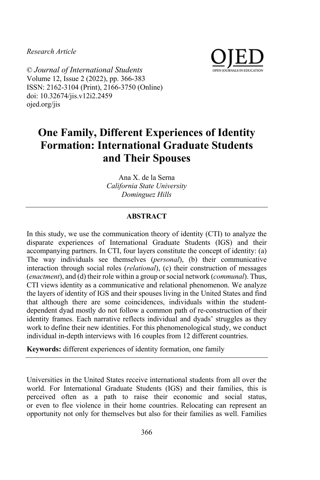*Research Article*



© *Journal of International Students* Volume 12, Issue 2 (2022), pp. 366-383 ISSN: 2162-3104 (Print), 2166-3750 (Online) doi: 10.32674/jis.v12i2.2459 ojed.org/jis

# **One Family, Different Experiences of Identity Formation: International Graduate Students and Their Spouses**

Ana X. de la Serna *California State University Dominguez Hills*

# **ABSTRACT**

In this study, we use the communication theory of identity (CTI) to analyze the disparate experiences of International Graduate Students (IGS) and their accompanying partners. In CTI, four layers constitute the concept of identity: (a) The way individuals see themselves (*personal*), (b) their communicative interaction through social roles (*relational*), (c) their construction of messages (*enactment*), and (d) their role within a group or social network (*communal*). Thus, CTI views identity as a communicative and relational phenomenon. We analyze the layers of identity of IGS and their spouses living in the United States and find that although there are some coincidences, individuals within the studentdependent dyad mostly do not follow a common path of re-construction of their identity frames. Each narrative reflects individual and dyads' struggles as they work to define their new identities. For this phenomenological study, we conduct individual in-depth interviews with 16 couples from 12 different countries.

**Keywords:** different experiences of identity formation, one family

Universities in the United States receive international students from all over the world. For International Graduate Students (IGS) and their families, this is perceived often as a path to raise their economic and social status, or even to flee violence in their home countries. Relocating can represent an opportunity not only for themselves but also for their families as well. Families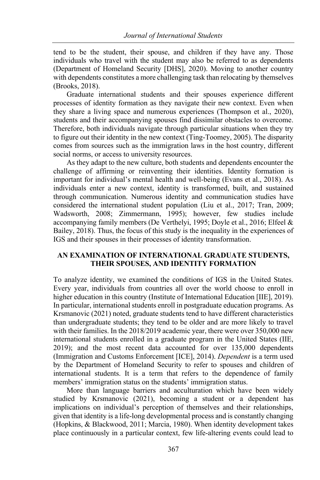tend to be the student, their spouse, and children if they have any. Those individuals who travel with the student may also be referred to as dependents (Department of Homeland Security [DHS], 2020). Moving to another country with dependents constitutes a more challenging task than relocating by themselves (Brooks, 2018).

Graduate international students and their spouses experience different processes of identity formation as they navigate their new context. Even when they share a living space and numerous experiences (Thompson et al., 2020), students and their accompanying spouses find dissimilar obstacles to overcome. Therefore, both individuals navigate through particular situations when they try to figure out their identity in the new context (Ting-Toomey, 2005). The disparity comes from sources such as the immigration laws in the host country, different social norms, or access to university resources.

As they adapt to the new culture, both students and dependents encounter the challenge of affirming or reinventing their identities. Identity formation is important for individual's mental health and well-being (Evans et al., 2018). As individuals enter a new context, identity is transformed, built, and sustained through communication. Numerous identity and communication studies have considered the international student population (Liu et al., 2017; Tran, 2009; Wadsworth, 2008; Zimmermann, 1995); however, few studies include accompanying family members (De Verthelyi, 1995; Doyle et al., 2016; Elfeel & Bailey, 2018). Thus, the focus of this study is the inequality in the experiences of IGS and their spouses in their processes of identity transformation.

# **AN EXAMINATION OF INTERNATIONAL GRADUATE STUDENTS, THEIR SPOUSES, AND IDENTITY FORMATION**

To analyze identity, we examined the conditions of IGS in the United States. Every year, individuals from countries all over the world choose to enroll in higher education in this country (Institute of International Education [IIE], 2019). In particular, international students enroll in postgraduate education programs. As Krsmanovic (2021) noted, graduate students tend to have different characteristics than undergraduate students; they tend to be older and are more likely to travel with their families. In the 2018/2019 academic year, there were over 350,000 new international students enrolled in a graduate program in the United States (IIE, 2019); and the most recent data accounted for over 135,000 dependents (Immigration and Customs Enforcement [ICE], 2014). *Dependent* is a term used by the Department of Homeland Security to refer to spouses and children of international students. It is a term that refers to the dependence of family members' immigration status on the students' immigration status.

More than language barriers and acculturation which have been widely studied by Krsmanovic (2021), becoming a student or a dependent has implications on individual's perception of themselves and their relationships, given that identity is a life-long developmental process and is constantly changing (Hopkins, & Blackwood, 2011; Marcia, 1980). When identity development takes place continuously in a particular context, few life-altering events could lead to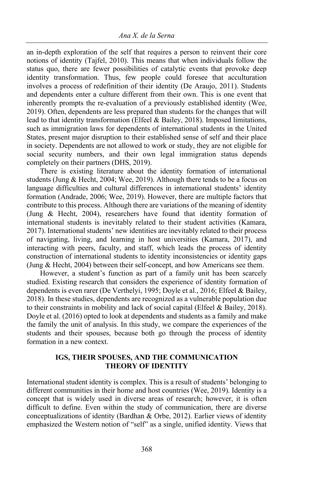an in-depth exploration of the self that requires a person to reinvent their core notions of identity (Tajfel, 2010). This means that when individuals follow the status quo, there are fewer possibilities of catalytic events that provoke deep identity transformation. Thus, few people could foresee that acculturation involves a process of redefinition of their identity (De Araujo, 2011). Students and dependents enter a culture different from their own. This is one event that inherently prompts the re-evaluation of a previously established identity (Wee, 2019). Often, dependents are less prepared than students for the changes that will lead to that identity transformation (Elfeel & Bailey, 2018). Imposed limitations, such as immigration laws for dependents of international students in the United States, present major disruption to their established sense of self and their place in society. Dependents are not allowed to work or study, they are not eligible for social security numbers, and their own legal immigration status depends completely on their partners (DHS, 2019).

There is existing literature about the identity formation of international students (Jung & Hecht, 2004; Wee, 2019). Although there tends to be a focus on language difficulties and cultural differences in international students' identity formation (Andrade, 2006; Wee, 2019). However, there are multiple factors that contribute to this process. Although there are variations of the meaning of identity (Jung & Hecht, 2004), researchers have found that identity formation of international students is inevitably related to their student activities (Kamara, 2017). International students' new identities are inevitably related to their process of navigating, living, and learning in host universities (Kamara, 2017), and interacting with peers, faculty, and staff, which leads the process of identity construction of international students to identity inconsistencies or identity gaps (Jung & Hecht, 2004) between their self-concept, and how Americans see them.

However, a student's function as part of a family unit has been scarcely studied. Existing research that considers the experience of identity formation of dependents is even rarer (De Verthelyi, 1995; Doyle et al., 2016; Elfeel & Bailey, 2018). In these studies, dependents are recognized as a vulnerable population due to their constraints in mobility and lack of social capital (Elfeel & Bailey, 2018). Doyle et al. (2016) opted to look at dependents and students as a family and make the family the unit of analysis. In this study, we compare the experiences of the students and their spouses, because both go through the process of identity formation in a new context.

# **IGS, THEIR SPOUSES, AND THE COMMUNICATION THEORY OF IDENTITY**

International student identity is complex. This is a result of students' belonging to different communities in their home and host countries (Wee, 2019). Identity is a concept that is widely used in diverse areas of research; however, it is often difficult to define. Even within the study of communication, there are diverse conceptualizations of identity (Bardhan & Orbe, 2012). Earlier views of identity emphasized the Western notion of "self" as a single, unified identity. Views that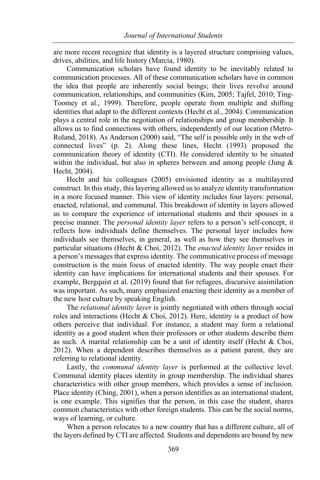are more recent recognize that identity is a layered structure comprising values, drives, abilities, and life history (Marcia, 1980).

Communication scholars have found identity to be inevitably related to communication processes. All of these communication scholars have in common the idea that people are inherently social beings; their lives revolve around communication, relationships, and communities (Kim, 2005; Tajfel, 2010; Ting-Toomey et al., 1999). Therefore, people operate from multiple and shifting identities that adapt to the different contexts (Hecht et al., 2004). Communication plays a central role in the negotiation of relationships and group membership. It allows us to find connections with others, independently of our location (Metro-Roland, 2018). As Anderson (2000) said, "The self is possible only in the web of connected lives" (p. 2). Along these lines, Hecht (1993) proposed the communication theory of identity (CTI). He considered identity to be situated within the individual, but also in spheres between and among people (Jung  $\&$ Hecht, 2004).

Hecht and his colleagues (2005) envisioned identity as a multilayered construct. In this study, this layering allowed us to analyze identity transformation in a more focused manner. This view of identity includes four layers: personal, enacted, relational, and communal. This breakdown of identity in layers allowed us to compare the experience of international students and their spouses in a precise manner. The *personal identity layer* refers to a person's self-concept, it reflects how individuals define themselves. The personal layer includes how individuals see themselves, in general, as well as how they see themselves in particular situations (Hecht & Choi, 2012). The *enacted identity layer* resides in a person's messages that express identity. The communicative process of message construction is the main focus of enacted identity. The way people enact their identity can have implications for international students and their spouses. For example, Bergquist et al. (2019) found that for refugees, discursive assimilation was important. As such, many emphasized enacting their identity as a member of the new host culture by speaking English.

The *relational identity layer* is jointly negotiated with others through social roles and interactions (Hecht & Choi, 2012). Here, identity is a product of how others perceive that individual. For instance, a student may form a relational identity as a good student when their professors or other students describe them as such. A marital relationship can be a unit of identity itself (Hecht & Choi, 2012). When a dependent describes themselves as a patient parent, they are referring to relational identity.

Lastly, the *communal identity layer* is performed at the collective level. Communal identity places identity in group membership. The individual shares characteristics with other group members, which provides a sense of inclusion. Place identity (Ching, 2001), when a person identifies as an international student, is one example. This signifies that the person, in this case the student, shares common characteristics with other foreign students. This can be the social norms, ways of learning, or culture.

When a person relocates to a new country that has a different culture, all of the layers defined by CTI are affected. Students and dependents are bound by new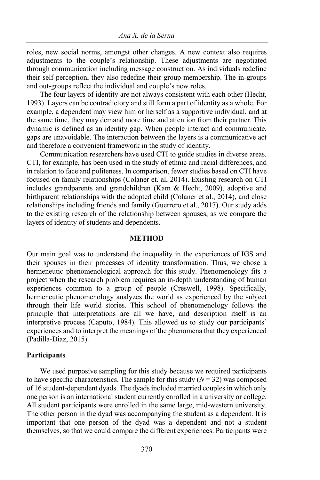roles, new social norms, amongst other changes. A new context also requires adjustments to the couple's relationship. These adjustments are negotiated through communication including message construction. As individuals redefine their self-perception, they also redefine their group membership. The in-groups and out-groups reflect the individual and couple's new roles.

The four layers of identity are not always consistent with each other (Hecht, 1993). Layers can be contradictory and still form a part of identity as a whole. For example, a dependent may view him or herself as a supportive individual, and at the same time, they may demand more time and attention from their partner. This dynamic is defined as an identity gap. When people interact and communicate, gaps are unavoidable. The interaction between the layers is a communicative act and therefore a convenient framework in the study of identity.

Communication researchers have used CTI to guide studies in diverse areas. CTI, for example, has been used in the study of ethnic and racial differences, and in relation to face and politeness. In comparison, fewer studies based on CTI have focused on family relationships (Colaner et. al, 2014). Existing research on CTI includes grandparents and grandchildren (Kam & Hecht, 2009), adoptive and birthparent relationships with the adopted child (Colaner et al., 2014), and close relationships including friends and family (Guerrero et al., 2017). Our study adds to the existing research of the relationship between spouses, as we compare the layers of identity of students and dependents.

## **METHOD**

Our main goal was to understand the inequality in the experiences of IGS and their spouses in their processes of identity transformation. Thus, we chose a hermeneutic phenomenological approach for this study. Phenomenology fits a project when the research problem requires an in-depth understanding of human experiences common to a group of people (Creswell, 1998). Specifically, hermeneutic phenomenology analyzes the world as experienced by the subject through their life world stories. This school of phenomenology follows the principle that interpretations are all we have, and description itself is an interpretive process (Caputo, 1984). This allowed us to study our participants' experiences and to interpret the meanings of the phenomena that they experienced (Padilla-Diaz, 2015).

#### **Participants**

We used purposive sampling for this study because we required participants to have specific characteristics. The sample for this study  $(N = 32)$  was composed of 16 student-dependent dyads. The dyads included married couples in which only one person is an international student currently enrolled in a university or college. All student participants were enrolled in the same large, mid-western university. The other person in the dyad was accompanying the student as a dependent. It is important that one person of the dyad was a dependent and not a student themselves, so that we could compare the different experiences. Participants were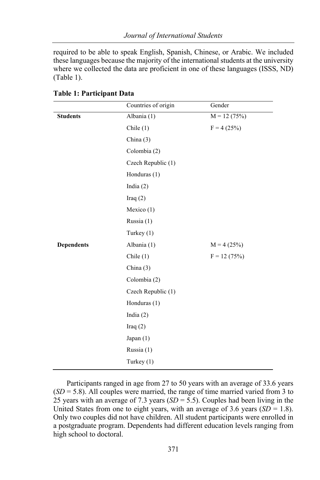required to be able to speak English, Spanish, Chinese, or Arabic. We included these languages because the majority of the international students at the university where we collected the data are proficient in one of these languages (ISSS, ND) (Table 1).

|                   | Countries of origin | Gender        |
|-------------------|---------------------|---------------|
| <b>Students</b>   | Albania (1)         | $M = 12(75%)$ |
|                   | Chile $(1)$         | $F = 4(25%)$  |
|                   | China $(3)$         |               |
|                   | Colombia (2)        |               |
|                   | Czech Republic (1)  |               |
|                   | Honduras (1)        |               |
|                   | India $(2)$         |               |
|                   | Iraq $(2)$          |               |
|                   | Mexico $(1)$        |               |
|                   | Russia $(1)$        |               |
|                   | Turkey $(1)$        |               |
| <b>Dependents</b> | Albania (1)         | $M = 4(25%)$  |
|                   | Chile $(1)$         | $F = 12(75%)$ |
|                   | China $(3)$         |               |
|                   | Colombia (2)        |               |
|                   | Czech Republic (1)  |               |
|                   | Honduras (1)        |               |
|                   | India $(2)$         |               |
|                   | Iraq $(2)$          |               |
|                   | Japan $(1)$         |               |
|                   | Russia $(1)$        |               |
|                   | Turkey (1)          |               |

**Table 1: Participant Data** 

Participants ranged in age from 27 to 50 years with an average of 33.6 years  $(SD = 5.8)$ . All couples were married, the range of time married varied from 3 to 25 years with an average of 7.3 years (*SD* = 5.5). Couples had been living in the United States from one to eight years, with an average of 3.6 years  $(SD = 1.8)$ . Only two couples did not have children. All student participants were enrolled in a postgraduate program. Dependents had different education levels ranging from high school to doctoral.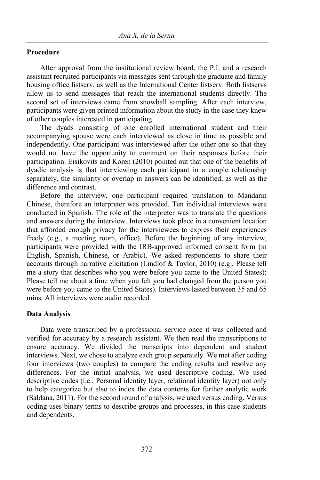# **Procedure**

After approval from the institutional review board, the P.I. and a research assistant recruited participants via messages sent through the graduate and family housing office listserv, as well as the International Center listserv. Both listservs allow us to send messages that reach the international students directly. The second set of interviews came from snowball sampling. After each interview, participants were given printed information about the study in the case they knew of other couples interested in participating.

The dyads consisting of one enrolled international student and their accompanying spouse were each interviewed as close in time as possible and independently. One participant was interviewed after the other one so that they would not have the opportunity to comment on their responses before their participation. Eisikovits and Koren (2010) pointed out that one of the benefits of dyadic analysis is that interviewing each participant in a couple relationship separately, the similarity or overlap in answers can be identified, as well as the difference and contrast.

Before the interview, one participant required translation to Mandarin Chinese, therefore an interpreter was provided. Ten individual interviews were conducted in Spanish. The role of the interpreter was to translate the questions and answers during the interview. Interviews took place in a convenient location that afforded enough privacy for the interviewees to express their experiences freely (e.g., a meeting room, office). Before the beginning of any interview, participants were provided with the IRB-approved informed consent form (in English, Spanish, Chinese, or Arabic). We asked respondents to share their accounts through narrative elicitation (Lindlof & Taylor, 2010) (e.g., Please tell me a story that describes who you were before you came to the United States); Please tell me about a time when you felt you had changed from the person you were before you came to the United States). Interviews lasted between 35 and 65 mins. All interviews were audio recorded.

## **Data Analysis**

Data were transcribed by a professional service once it was collected and verified for accuracy by a research assistant. We then read the transcriptions to ensure accuracy. We divided the transcripts into dependent and student interviews. Next, we chose to analyze each group separately. We met after coding four interviews (two couples) to compare the coding results and resolve any differences. For the initial analysis, we used descriptive coding. We used descriptive codes (i.e., Personal identity layer, relational identity layer) not only to help categorize but also to index the data contents for further analytic work (Saldana, 2011). For the second round of analysis, we used versus coding. Versus coding uses binary terms to describe groups and processes, in this case students and dependents.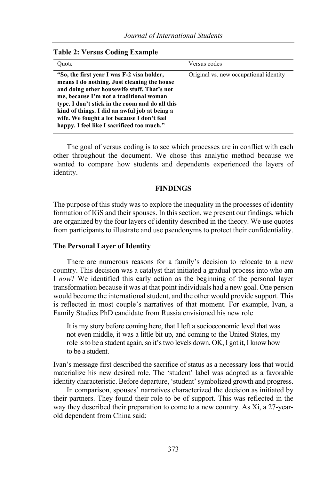| Quote                                                                                                                                                                                                                                                                                                                                                                               | Versus codes                           |
|-------------------------------------------------------------------------------------------------------------------------------------------------------------------------------------------------------------------------------------------------------------------------------------------------------------------------------------------------------------------------------------|----------------------------------------|
| "So, the first year I was F-2 visa holder,<br>means I do nothing. Just cleaning the house<br>and doing other housewife stuff. That's not<br>me, because I'm not a traditional woman<br>type. I don't stick in the room and do all this<br>kind of things. I did an awful job at being a<br>wife. We fought a lot because I don't feel<br>happy. I feel like I sacrificed too much." | Original vs. new occupational identity |

#### **Table 2: Versus Coding Example**

The goal of versus coding is to see which processes are in conflict with each other throughout the document. We chose this analytic method because we wanted to compare how students and dependents experienced the layers of identity.

## **FINDINGS**

The purpose of this study was to explore the inequality in the processes of identity formation of IGS and their spouses. In this section, we present our findings, which are organized by the four layers of identity described in the theory. We use quotes from participants to illustrate and use pseudonyms to protect their confidentiality.

## **The Personal Layer of Identity**

There are numerous reasons for a family's decision to relocate to a new country. This decision was a catalyst that initiated a gradual process into who am I *now*? We identified this early action as the beginning of the personal layer transformation because it was at that point individuals had a new goal. One person would become the international student, and the other would provide support. This is reflected in most couple's narratives of that moment. For example, Ivan, a Family Studies PhD candidate from Russia envisioned his new role

It is my story before coming here, that I left a socioeconomic level that was not even middle, it was a little bit up, and coming to the United States, my role is to be a student again, so it's two levels down. OK, I got it, I know how to be a student.

Ivan's message first described the sacrifice of status as a necessary loss that would materialize his new desired role. The 'student' label was adopted as a favorable identity characteristic. Before departure, 'student' symbolized growth and progress.

In comparison, spouses' narratives characterized the decision as initiated by their partners. They found their role to be of support. This was reflected in the way they described their preparation to come to a new country. As Xi, a 27-yearold dependent from China said: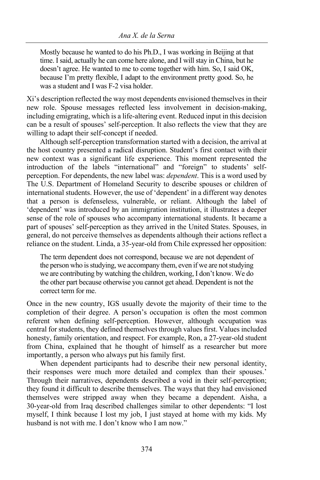Mostly because he wanted to do his Ph.D., I was working in Beijing at that time. I said, actually he can come here alone, and I will stay in China, but he doesn't agree. He wanted to me to come together with him. So, I said OK, because I'm pretty flexible, I adapt to the environment pretty good. So, he was a student and I was F-2 visa holder.

Xi's description reflected the way most dependents envisioned themselves in their new role. Spouse messages reflected less involvement in decision-making, including emigrating, which is a life-altering event. Reduced input in this decision can be a result of spouses' self-perception. It also reflects the view that they are willing to adapt their self-concept if needed.

Although self-perception transformation started with a decision, the arrival at the host country presented a radical disruption. Student's first contact with their new context was a significant life experience. This moment represented the introduction of the labels "international" and "foreign" to students' selfperception. For dependents, the new label was: *dependent*. This is a word used by The U.S. Department of Homeland Security to describe spouses or children of international students. However, the use of 'dependent' in a different way denotes that a person is defenseless, vulnerable, or reliant. Although the label of 'dependent' was introduced by an immigration institution, it illustrates a deeper sense of the role of spouses who accompany international students. It became a part of spouses' self-perception as they arrived in the United States. Spouses, in general, do not perceive themselves as dependents although their actions reflect a reliance on the student. Linda, a 35-year-old from Chile expressed her opposition:

The term dependent does not correspond, because we are not dependent of the person who is studying, we accompany them, even if we are not studying we are contributing by watching the children, working, I don't know. We do the other part because otherwise you cannot get ahead. Dependent is not the correct term for me.

Once in the new country, IGS usually devote the majority of their time to the completion of their degree. A person's occupation is often the most common referent when defining self-perception. However, although occupation was central for students, they defined themselves through values first. Values included honesty, family orientation, and respect. For example, Ron, a 27-year-old student from China, explained that he thought of himself as a researcher but more importantly, a person who always put his family first.

When dependent participants had to describe their new personal identity, their responses were much more detailed and complex than their spouses.' Through their narratives, dependents described a void in their self-perception; they found it difficult to describe themselves. The ways that they had envisioned themselves were stripped away when they became a dependent. Aisha, a 30-year-old from Iraq described challenges similar to other dependents: "I lost myself, I think because I lost my job, I just stayed at home with my kids. My husband is not with me. I don't know who I am now."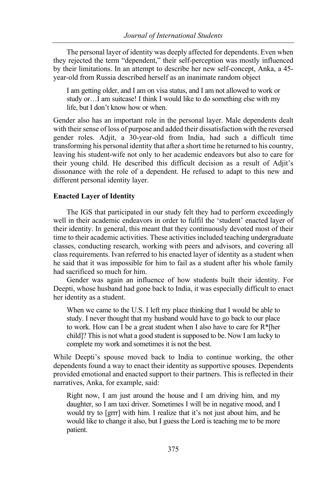The personal layer of identity was deeply affected for dependents. Even when they rejected the term "dependent," their self-perception was mostly influenced by their limitations. In an attempt to describe her new self-concept, Anka, a 45 year-old from Russia described herself as an inanimate random object

I am getting older, and I am on visa status, and I am not allowed to work or study or…I am suitcase! I think I would like to do something else with my life, but I don't know how or when.

Gender also has an important role in the personal layer. Male dependents dealt with their sense of loss of purpose and added their dissatisfaction with the reversed gender roles. Adjit, a 30-year-old from India, had such a difficult time transforming his personal identity that after a short time he returned to his country, leaving his student-wife not only to her academic endeavors but also to care for their young child. He described this difficult decision as a result of Adjit's dissonance with the role of a dependent. He refused to adapt to this new and different personal identity layer.

# **Enacted Layer of Identity**

The IGS that participated in our study felt they had to perform exceedingly well in their academic endeavors in order to fulfil the 'student' enacted layer of their identity. In general, this meant that they continuously devoted most of their time to their academic activities. These activities included teaching undergraduate classes, conducting research, working with peers and advisors, and covering all class requirements. Ivan referred to his enacted layer of identity as a student when he said that it was impossible for him to fail as a student after his whole family had sacrificed so much for him.

Gender was again an influence of how students built their identity. For Deepti, whose husband had gone back to India, it was especially difficult to enact her identity as a student.

When we came to the U.S. I left my place thinking that I would be able to study. I never thought that my husband would have to go back to our place to work. How can I be a great student when I also have to care for R\*[her child]? This is not what a good student is supposed to be. Now I am lucky to complete my work and sometimes it is not the best.

While Deepti's spouse moved back to India to continue working, the other dependents found a way to enact their identity as supportive spouses. Dependents provided emotional and enacted support to their partners. This is reflected in their narratives, Anka, for example, said:

Right now, I am just around the house and I am driving him, and my daughter, so I am taxi driver. Sometimes I will be in negative mood, and I would try to [grrr] with him. I realize that it's not just about him, and he would like to change it also, but I guess the Lord is teaching me to be more patient.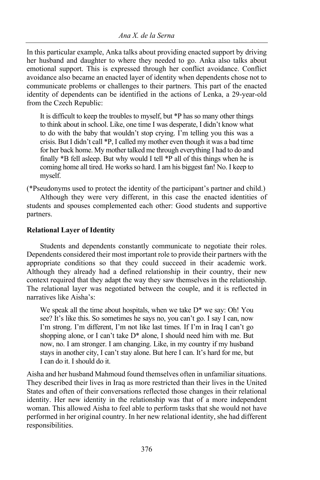In this particular example, Anka talks about providing enacted support by driving her husband and daughter to where they needed to go. Anka also talks about emotional support. This is expressed through her conflict avoidance. Conflict avoidance also became an enacted layer of identity when dependents chose not to communicate problems or challenges to their partners. This part of the enacted identity of dependents can be identified in the actions of Lenka, a 29-year-old from the Czech Republic:

It is difficult to keep the troubles to myself, but \*P has so many other things to think about in school. Like, one time I was desperate, I didn't know what to do with the baby that wouldn't stop crying. I'm telling you this was a crisis. But I didn't call \*P, I called my mother even though it was a bad time for her back home. My mother talked me through everything I had to do and finally \*B fell asleep. But why would I tell \*P all of this things when he is coming home all tired. He works so hard. I am his biggest fan! No. I keep to myself.

(\*Pseudonyms used to protect the identity of the participant's partner and child.) Although they were very different, in this case the enacted identities of students and spouses complemented each other: Good students and supportive partners.

# **Relational Layer of Identity**

Students and dependents constantly communicate to negotiate their roles. Dependents considered their most important role to provide their partners with the appropriate conditions so that they could succeed in their academic work. Although they already had a defined relationship in their country, their new context required that they adapt the way they saw themselves in the relationship. The relational layer was negotiated between the couple, and it is reflected in narratives like Aisha's:

We speak all the time about hospitals, when we take  $D^*$  we say: Oh! You see? It's like this. So sometimes he says no, you can't go. I say I can, now I'm strong. I'm different, I'm not like last times. If I'm in Iraq I can't go shopping alone, or I can't take  $D^*$  alone, I should need him with me. But now, no. I am stronger. I am changing. Like, in my country if my husband stays in another city, I can't stay alone. But here I can. It's hard for me, but I can do it. I should do it.

Aisha and her husband Mahmoud found themselves often in unfamiliar situations. They described their lives in Iraq as more restricted than their lives in the United States and often of their conversations reflected those changes in their relational identity. Her new identity in the relationship was that of a more independent woman. This allowed Aisha to feel able to perform tasks that she would not have performed in her original country. In her new relational identity, she had different responsibilities.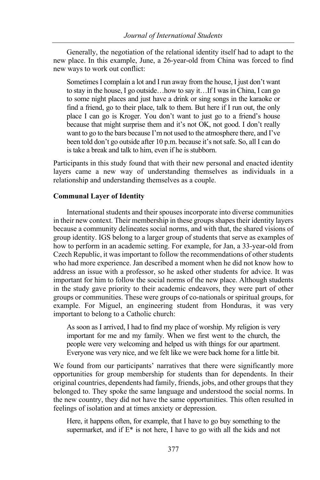Generally, the negotiation of the relational identity itself had to adapt to the new place. In this example, June, a 26-year-old from China was forced to find new ways to work out conflict:

Sometimes I complain a lot and I run away from the house, I just don't want to stay in the house, I go outside…how to say it…If I was in China, I can go to some night places and just have a drink or sing songs in the karaoke or find a friend, go to their place, talk to them. But here if I run out, the only place I can go is Kroger. You don't want to just go to a friend's house because that might surprise them and it's not OK, not good. I don't really want to go to the bars because I'm not used to the atmosphere there, and I've been told don't go outside after 10 p.m. because it's not safe. So, all I can do is take a break and talk to him, even if he is stubborn.

Participants in this study found that with their new personal and enacted identity layers came a new way of understanding themselves as individuals in a relationship and understanding themselves as a couple.

# **Communal Layer of Identity**

International students and their spouses incorporate into diverse communities in their new context. Their membership in these groups shapes their identity layers because a community delineates social norms, and with that, the shared visions of group identity. IGS belong to a larger group of students that serve as examples of how to perform in an academic setting. For example, for Jan, a 33-year-old from Czech Republic, it was important to follow the recommendations of other students who had more experience. Jan described a moment when he did not know how to address an issue with a professor, so he asked other students for advice. It was important for him to follow the social norms of the new place. Although students in the study gave priority to their academic endeavors, they were part of other groups or communities. These were groups of co-nationals or spiritual groups, for example. For Miguel, an engineering student from Honduras, it was very important to belong to a Catholic church:

As soon as I arrived, I had to find my place of worship. My religion is very important for me and my family. When we first went to the church, the people were very welcoming and helped us with things for our apartment. Everyone was very nice, and we felt like we were back home for a little bit.

We found from our participants' narratives that there were significantly more opportunities for group membership for students than for dependents. In their original countries, dependents had family, friends, jobs, and other groups that they belonged to. They spoke the same language and understood the social norms. In the new country, they did not have the same opportunities. This often resulted in feelings of isolation and at times anxiety or depression.

Here, it happens often, for example, that I have to go buy something to the supermarket, and if  $E^*$  is not here, I have to go with all the kids and not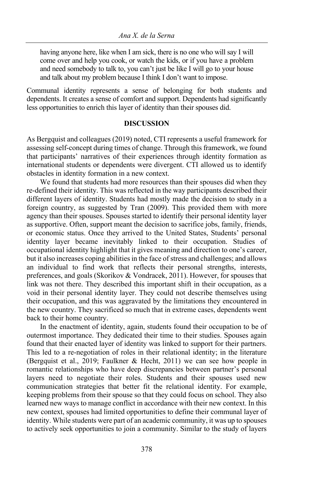having anyone here, like when I am sick, there is no one who will say I will come over and help you cook, or watch the kids, or if you have a problem and need somebody to talk to, you can't just be like I will go to your house and talk about my problem because I think I don't want to impose.

Communal identity represents a sense of belonging for both students and dependents. It creates a sense of comfort and support. Dependents had significantly less opportunities to enrich this layer of identity than their spouses did.

# **DISCUSSION**

As Bergquist and colleagues (2019) noted, CTI represents a useful framework for assessing self-concept during times of change. Through this framework, we found that participants' narratives of their experiences through identity formation as international students or dependents were divergent. CTI allowed us to identify obstacles in identity formation in a new context.

We found that students had more resources than their spouses did when they re-defined their identity. This was reflected in the way participants described their different layers of identity. Students had mostly made the decision to study in a foreign country, as suggested by Tran (2009). This provided them with more agency than their spouses. Spouses started to identify their personal identity layer as supportive. Often, support meant the decision to sacrifice jobs, family, friends, or economic status. Once they arrived to the United States, Students' personal identity layer became inevitably linked to their occupation. Studies of occupational identity highlight that it gives meaning and direction to one's career, but it also increases coping abilities in the face of stress and challenges; and allows an individual to find work that reflects their personal strengths, interests, preferences, and goals (Skorikov & Vondracek, 2011). However, for spouses that link was not there. They described this important shift in their occupation, as a void in their personal identity layer. They could not describe themselves using their occupation, and this was aggravated by the limitations they encountered in the new country. They sacrificed so much that in extreme cases, dependents went back to their home country.

In the enactment of identity, again, students found their occupation to be of outermost importance. They dedicated their time to their studies. Spouses again found that their enacted layer of identity was linked to support for their partners. This led to a re-negotiation of roles in their relational identity; in the literature (Bergquist et al., 2019; Faulkner & Hecht, 2011) we can see how people in romantic relationships who have deep discrepancies between partner's personal layers need to negotiate their roles. Students and their spouses used new communication strategies that better fit the relational identity. For example, keeping problems from their spouse so that they could focus on school. They also learned new ways to manage conflict in accordance with their new context. In this new context, spouses had limited opportunities to define their communal layer of identity. While students were part of an academic community, it was up to spouses to actively seek opportunities to join a community. Similar to the study of layers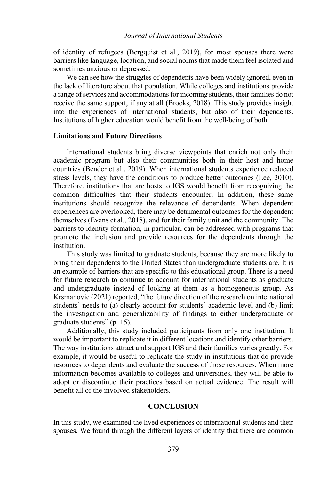of identity of refugees (Bergquist et al., 2019), for most spouses there were barriers like language, location, and social norms that made them feel isolated and sometimes anxious or depressed.

We can see how the struggles of dependents have been widely ignored, even in the lack of literature about that population. While colleges and institutions provide a range of services and accommodations for incoming students, their families do not receive the same support, if any at all (Brooks, 2018). This study provides insight into the experiences of international students, but also of their dependents. Institutions of higher education would benefit from the well-being of both.

## **Limitations and Future Directions**

International students bring diverse viewpoints that enrich not only their academic program but also their communities both in their host and home countries (Bender et al., 2019). When international students experience reduced stress levels, they have the conditions to produce better outcomes (Lee, 2010). Therefore, institutions that are hosts to IGS would benefit from recognizing the common difficulties that their students encounter. In addition, these same institutions should recognize the relevance of dependents. When dependent experiences are overlooked, there may be detrimental outcomes for the dependent themselves (Evans et al., 2018), and for their family unit and the community. The barriers to identity formation, in particular, can be addressed with programs that promote the inclusion and provide resources for the dependents through the institution.

This study was limited to graduate students, because they are more likely to bring their dependents to the United States than undergraduate students are. It is an example of barriers that are specific to this educational group. There is a need for future research to continue to account for international students as graduate and undergraduate instead of looking at them as a homogeneous group. As Krsmanovic (2021) reported, "the future direction of the research on international students' needs to (a) clearly account for students' academic level and (b) limit the investigation and generalizability of findings to either undergraduate or graduate students" (p. 15).

Additionally, this study included participants from only one institution. It would be important to replicate it in different locations and identify other barriers. The way institutions attract and support IGS and their families varies greatly. For example, it would be useful to replicate the study in institutions that do provide resources to dependents and evaluate the success of those resources. When more information becomes available to colleges and universities, they will be able to adopt or discontinue their practices based on actual evidence. The result will benefit all of the involved stakeholders.

# **CONCLUSION**

In this study, we examined the lived experiences of international students and their spouses. We found through the different layers of identity that there are common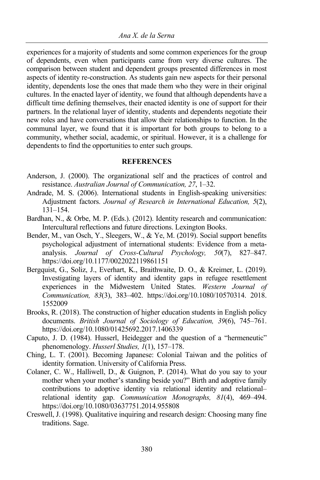experiences for a majority of students and some common experiences for the group of dependents, even when participants came from very diverse cultures. The comparison between student and dependent groups presented differences in most aspects of identity re-construction. As students gain new aspects for their personal identity, dependents lose the ones that made them who they were in their original cultures. In the enacted layer of identity, we found that although dependents have a difficult time defining themselves, their enacted identity is one of support for their partners. In the relational layer of identity, students and dependents negotiate their new roles and have conversations that allow their relationships to function. In the communal layer, we found that it is important for both groups to belong to a community, whether social, academic, or spiritual. However, it is a challenge for dependents to find the opportunities to enter such groups.

# **REFERENCES**

- Anderson, J. (2000). The organizational self and the practices of control and resistance. *Australian Journal of Communication, 27*, 1–32.
- Andrade, M. S. (2006). International students in English-speaking universities: Adjustment factors. *Journal of Research in International Education, 5*(2), 131–154.
- Bardhan, N., & Orbe, M. P. (Eds.). (2012). Identity research and communication: Intercultural reflections and future directions. Lexington Books.
- Bender, M., van Osch, Y., Sleegers, W., & Ye, M. (2019). Social support benefits psychological adjustment of international students: Evidence from a metaanalysis. *Journal of Cross-Cultural Psychology, 50*(7), 827–847. https://doi.org/10.1177/0022022119861151
- Bergquist, G., Soliz, J., Everhart, K., Braithwaite, D. O., & Kreimer, L. (2019). Investigating layers of identity and identity gaps in refugee resettlement experiences in the Midwestern United States. *Western Journal of Communication, 83*(3), 383–402. https://doi.org/10.1080/10570314. 2018. 1552009
- Brooks, R. (2018). The construction of higher education students in English policy documents. *British Journal of Sociology of Education, 39*(6), 745–761. https://doi.org/10.1080/01425692.2017.1406339
- Caputo, J. D. (1984). Husserl, Heidegger and the question of a "hermeneutic" phenomenology. *Husserl Studies, 1*(1), 157–178.
- Ching, L. T. (2001). Becoming Japanese: Colonial Taiwan and the politics of identity formation. University of California Press.
- Colaner, C. W., Halliwell, D., & Guignon, P. (2014). What do you say to your mother when your mother's standing beside you?" Birth and adoptive family contributions to adoptive identity via relational identity and relational– relational identity gap. *Communication Monographs, 81*(4), 469–494. https://doi.org/10.1080/03637751.2014.955808
- Creswell, J. (1998). Qualitative inquiring and research design: Choosing many fine traditions. Sage.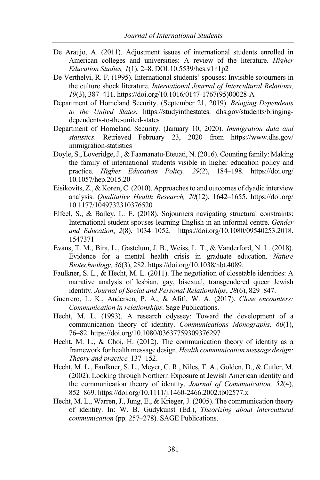- De Araujo, A. (2011). Adjustment issues of international students enrolled in American colleges and universities: A review of the literature. *Higher Education Studies, 1*(1), 2–8. DOI:10.5539/hes.v1n1p2
- De Verthelyi, R. F. (1995). International students' spouses: Invisible sojourners in the culture shock literature. *International Journal of Intercultural Relations, 19*(3), 387–411. https://doi.org/10.1016/0147-1767(95)00028-A
- Department of Homeland Security. (September 21, 2019). *Bringing Dependents to the United States.* https://studyinthestates. dhs.gov/students/bringingdependents-to-the-united-states
- Department of Homeland Security. (January 10, 2020). *Immigration data and statistics*. Retrieved February 23, 2020 from https://www.dhs.gov/ immigration-statistics
- Doyle, S., Loveridge, J., & Faamanatu-Eteuati, N. (2016). Counting family: Making the family of international students visible in higher education policy and practice. *Higher Education Policy, 29*(2), 184–198. https://doi.org/ 10.1057/hep.2015.20
- Eisikovits, Z., & Koren, C. (2010). Approaches to and outcomes of dyadic interview analysis. *Qualitative Health Research, 20*(12), 1642–1655. https://doi.org/ 10.1177/1049732310376520
- Elfeel, S., & Bailey, L. E. (2018). Sojourners navigating structural constraints: International student spouses learning English in an informal centre. *Gender and Education*, *2*(8), 1034–1052. https://doi.org/10.1080/09540253.2018. 1547371
- Evans, T. M., Bira, L., Gastelum, J. B., Weiss, L. T., & Vanderford, N. L. (2018). Evidence for a mental health crisis in graduate education. *Nature Biotechnology, 36*(3), 282. https://doi.org/10.1038/nbt.4089.
- Faulkner, S. L., & Hecht, M. L. (2011). The negotiation of closetable identities: A narrative analysis of lesbian, gay, bisexual, transgendered queer Jewish identity. *Journal of Social and Personal Relationships*, *28*(6), 829–847.
- Guerrero, L. K., Andersen, P. A., & Afifi, W. A. (2017). *Close encounters: Communication in relationships*. Sage Publications.
- Hecht, M. L. (1993). A research odyssey: Toward the development of a communication theory of identity. *Communications Monographs, 60*(1), 76–82. https://doi.org/10.1080/03637759309376297
- Hecht, M. L., & Choi, H. (2012). The communication theory of identity as a framework for health message design. *Health communication message design: Theory and practice*, 137–152.
- Hecht, M. L., Faulkner, S. L., Meyer, C. R., Niles, T. A., Golden, D., & Cutler, M. (2002). Looking through Northern Exposure at Jewish American identity and the communication theory of identity. *Journal of Communication, 52*(4), 852–869. https://doi.org/10.1111/j.1460-2466.2002.tb02577.x
- Hecht, M. L., Warren, J., Jung, E., & Krieger, J. (2005). The communication theory of identity. In: W. B. Gudykunst (Ed.), *Theorizing about intercultural communication* (pp. 257–278). SAGE Publications.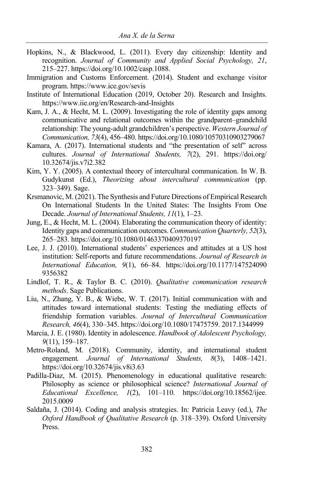- Hopkins, N., & Blackwood, L. (2011). Every day citizenship: Identity and recognition. *Journal of Community and Applied Social Psychology, 21*, 215–227. https://doi.org/10.1002/casp.1088.
- Immigration and Customs Enforcement. (2014). Student and exchange visitor program. https://www.ice.gov/sevis
- Institute of International Education (2019, October 20). Research and Insights. https://www.iie.org/en/Research-and-Insights
- Kam, J. A., & Hecht, M. L. (2009). Investigating the role of identity gaps among communicative and relational outcomes within the grandparent–grandchild relationship: The young-adult grandchildren's perspective. *Western Journal of Communication, 73*(4), 456–480. https://doi.org/10.1080/10570310903279067
- Kamara, A. (2017). International students and "the presentation of self" across cultures. *Journal of International Students, 7*(2), 291. https://doi.org/ 10.32674/jis.v7i2.382
- Kim, Y. Y. (2005). A contextual theory of intercultural communication. In W. B. Gudykunst (Ed.), *Theorizing about intercultural communication* (pp. 323–349). Sage.
- Krsmanovic, M. (2021). The Synthesis and Future Directions of Empirical Research On International Students In the United States: The Insights From One Decade. *Journal of International Students, 11*(1), 1–23.
- Jung, E., & Hecht, M. L. (2004). Elaborating the communication theory of identity: Identity gaps and communication outcomes. *Communication Quarterly, 52*(3), 265–283. https://doi.org/10.1080/01463370409370197
- Lee, J. J. (2010). International students' experiences and attitudes at a US host institution: Self-reports and future recommendations. *Journal of Research in International Education, 9*(1), 66–84. https://doi.org/10.1177/147524090 9356382
- Lindlof, T. R., & Taylor B. C. (2010). *Qualitative communication research methods*. Sage Publications.
- Liu, N., Zhang, Y. B., & Wiebe, W. T. (2017). Initial communication with and attitudes toward international students: Testing the mediating effects of friendship formation variables. *Journal of Intercultural Communication Research, 46*(4), 330–345. https://doi.org/10.1080/17475759. 2017.1344999
- Marcia, J. E. (1980). Identity in adolescence. *Handbook of Adolescent Psychology, 9*(11), 159–187.
- Metro-Roland, M. (2018). Community, identity, and international student engagement*. Journal of International Students, 8*(3), 1408–1421. https://doi.org/10.32674/jis.v8i3.63
- Padilla-Diaz, M. (2015). Phenomenology in educational qualitative research: Philosophy as science or philosophical science? *International Journal of Educational Excellence, 1*(2), 101–110. https://doi.org/10.18562/ijee. 2015.0009
- Saldaña, J. (2014). Coding and analysis strategies. In: Patricia Leavy (ed.), *The Oxford Handbook of Qualitative Research* (p. 318–339). Oxford University Press.